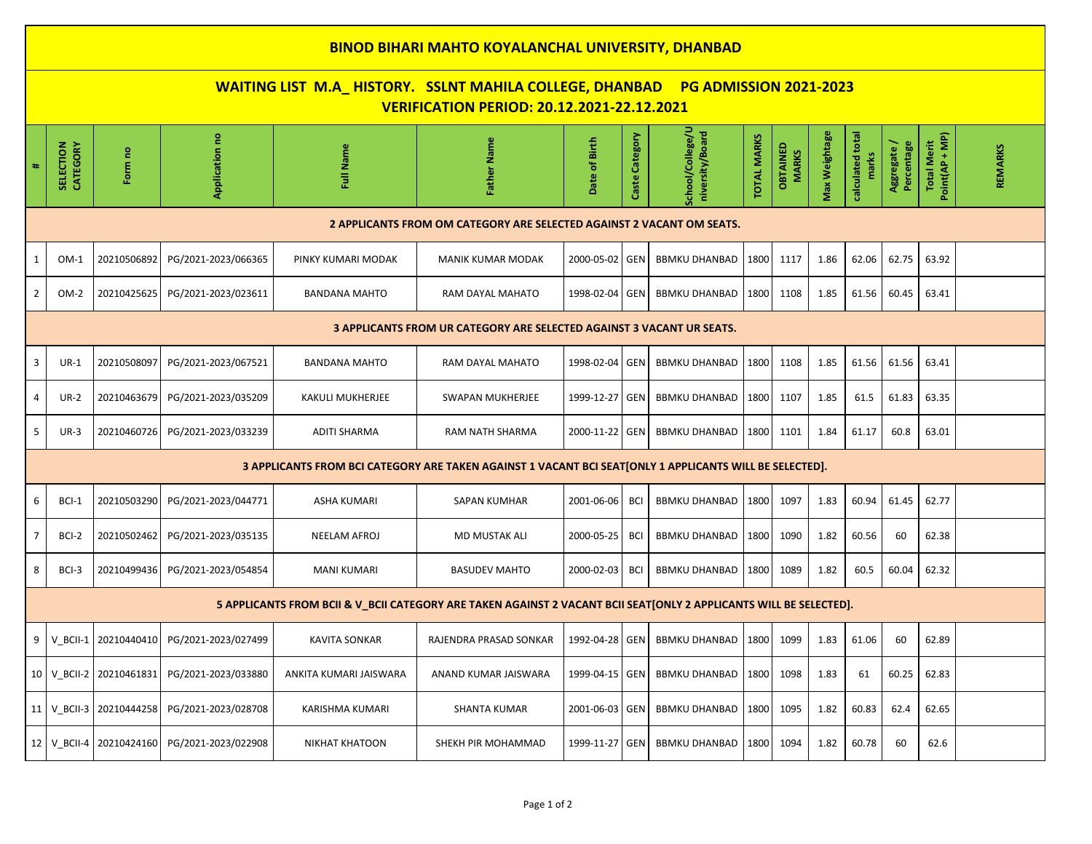| <b>BINOD BIHARI MAHTO KOYALANCHAL UNIVERSITY, DHANBAD</b>                                                                                  |                                                                       |                         |                                          |                        |                          |                |                |                                                   |                    |                                 |               |                           |                          |                                      |                |
|--------------------------------------------------------------------------------------------------------------------------------------------|-----------------------------------------------------------------------|-------------------------|------------------------------------------|------------------------|--------------------------|----------------|----------------|---------------------------------------------------|--------------------|---------------------------------|---------------|---------------------------|--------------------------|--------------------------------------|----------------|
| <b>WAITING LIST M.A_HISTORY. SSLNT MAHILA COLLEGE, DHANBAD PG ADMISSION 2021-2023</b><br><b>VERIFICATION PERIOD: 20.12.2021-22.12.2021</b> |                                                                       |                         |                                          |                        |                          |                |                |                                                   |                    |                                 |               |                           |                          |                                      |                |
| 牡                                                                                                                                          | SELECTION<br>CATEGORY                                                 | Form no                 | Application no                           | Full Name              | Father Name              | Date of Birth  | Caste Category | School/College/U<br>niversity/Board               | <b>TOTAL MARKS</b> | <b>OBTAINED</b><br><b>MARKS</b> | Max Weightage | calculated total<br>marks | Aggregate/<br>Percentage | Point(AP + MP)<br><b>Total Merit</b> | <b>REMARKS</b> |
| 2 APPLICANTS FROM OM CATEGORY ARE SELECTED AGAINST 2 VACANT OM SEATS.                                                                      |                                                                       |                         |                                          |                        |                          |                |                |                                                   |                    |                                 |               |                           |                          |                                      |                |
| 1                                                                                                                                          | $OM-1$                                                                | 20210506892             | PG/2021-2023/066365                      | PINKY KUMARI MODAK     | <b>MANIK KUMAR MODAK</b> | 2000-05-02     | GEN            | <b>BBMKU DHANBAD</b>                              | 1800               | 1117                            | 1.86          | 62.06                     | 62.75                    | 63.92                                |                |
| $\overline{2}$                                                                                                                             | OM-2                                                                  | 20210425625             | PG/2021-2023/023611                      | <b>BANDANA MAHTO</b>   | RAM DAYAL MAHATO         | 1998-02-04 GEN |                | <b>BBMKU DHANBAD</b>                              | 1800               | 1108                            | 1.85          | 61.56                     | 60.45                    | 63.41                                |                |
|                                                                                                                                            | 3 APPLICANTS FROM UR CATEGORY ARE SELECTED AGAINST 3 VACANT UR SEATS. |                         |                                          |                        |                          |                |                |                                                   |                    |                                 |               |                           |                          |                                      |                |
| 3                                                                                                                                          | $UR-1$                                                                | 20210508097             | PG/2021-2023/067521                      | <b>BANDANA MAHTO</b>   | RAM DAYAL MAHATO         | 1998-02-04 GEN |                | <b>BBMKU DHANBAD</b>                              | 1800               | 1108                            | 1.85          | 61.56                     | 61.56                    | 63.41                                |                |
| 4                                                                                                                                          | <b>UR-2</b>                                                           | 20210463679             | PG/2021-2023/035209                      | KAKULI MUKHERJEE       | <b>SWAPAN MUKHERJEE</b>  | 1999-12-27     | <b>GEN</b>     | <b>BBMKU DHANBAD</b>                              | 1800               | 1107                            | 1.85          | 61.5                      | 61.83                    | 63.35                                |                |
| 5                                                                                                                                          | $UR-3$                                                                | 20210460726             | PG/2021-2023/033239                      | <b>ADITI SHARMA</b>    | RAM NATH SHARMA          | 2000-11-22 GEN |                | <b>BBMKU DHANBAD</b>                              | 1800               | 1101                            | 1.84          | 61.17                     | 60.8                     | 63.01                                |                |
| 3 APPLICANTS FROM BCI CATEGORY ARE TAKEN AGAINST 1 VACANT BCI SEAT[ONLY 1 APPLICANTS WILL BE SELECTED].                                    |                                                                       |                         |                                          |                        |                          |                |                |                                                   |                    |                                 |               |                           |                          |                                      |                |
| 6                                                                                                                                          | BCI-1                                                                 | 20210503290             | PG/2021-2023/044771                      | <b>ASHA KUMARI</b>     | SAPAN KUMHAR             | 2001-06-06     | BCI            | <b>BBMKU DHANBAD</b>                              | 1800               | 1097                            | 1.83          | 60.94                     | 61.45                    | 62.77                                |                |
| $\overline{7}$                                                                                                                             | BCI-2                                                                 | 20210502462             | PG/2021-2023/035135                      | NEELAM AFROJ           | MD MUSTAK ALI            | 2000-05-25     | BCI            | <b>BBMKU DHANBAD</b>                              | 1800               | 1090                            | 1.82          | 60.56                     | 60                       | 62.38                                |                |
| 8                                                                                                                                          | BCI-3                                                                 | 20210499436             | PG/2021-2023/054854                      | <b>MANI KUMARI</b>     | <b>BASUDEV MAHTO</b>     | 2000-02-03     | <b>BCI</b>     | <b>BBMKU DHANBAD</b>                              | 1800               | 1089                            | 1.82          | 60.5                      | 60.04                    | 62.32                                |                |
| 5 APPLICANTS FROM BCII & V_BCII CATEGORY ARE TAKEN AGAINST 2 VACANT BCII SEAT[ONLY 2 APPLICANTS WILL BE SELECTED].                         |                                                                       |                         |                                          |                        |                          |                |                |                                                   |                    |                                 |               |                           |                          |                                      |                |
| 9                                                                                                                                          |                                                                       |                         | V_BCII-1 20210440410 PG/2021-2023/027499 | <b>KAVITA SONKAR</b>   | RAJENDRA PRASAD SONKAR   |                |                | 1992-04-28 GEN BBMKU DHANBAD   1800   1099   1.83 |                    |                                 |               | 61.06                     | 60                       | 62.89                                |                |
|                                                                                                                                            | 10 V BCII-2                                                           | 20210461831             | PG/2021-2023/033880                      | ANKITA KUMARI JAISWARA | ANAND KUMAR JAISWARA     | 1999-04-15 GEN |                | <b>BBMKU DHANBAD</b>                              | 1800               | 1098                            | 1.83          | 61                        | 60.25                    | 62.83                                |                |
|                                                                                                                                            |                                                                       | 11 V_BCII-3 20210444258 | PG/2021-2023/028708                      | KARISHMA KUMARI        | SHANTA KUMAR             | 2001-06-03 GEN |                | <b>BBMKU DHANBAD</b>                              | 1800               | 1095                            | 1.82          | 60.83                     | 62.4                     | 62.65                                |                |
|                                                                                                                                            | 12 V_BCII-4                                                           | 20210424160             | PG/2021-2023/022908                      | NIKHAT KHATOON         | SHEKH PIR MOHAMMAD       | 1999-11-27 GEN |                | <b>BBMKU DHANBAD</b>                              | 1800               | 1094                            | 1.82          | 60.78                     | 60                       | 62.6                                 |                |